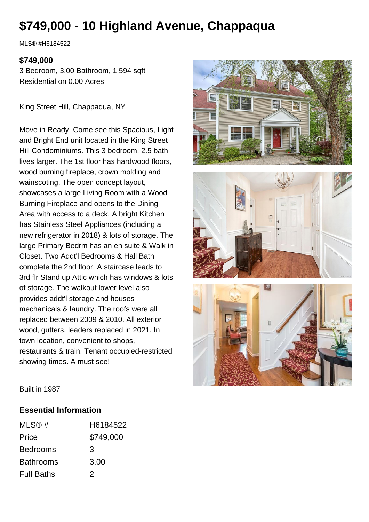# **\$749,000 - 10 Highland Avenue, Chappaqua**

MLS® #H6184522

#### **\$749,000**

3 Bedroom, 3.00 Bathroom, 1,594 sqft Residential on 0.00 Acres

King Street Hill, Chappaqua, NY

Move in Ready! Come see this Spacious, Light and Bright End unit located in the King Street Hill Condominiums. This 3 bedroom, 2.5 bath lives larger. The 1st floor has hardwood floors, wood burning fireplace, crown molding and wainscoting. The open concept layout, showcases a large Living Room with a Wood Burning Fireplace and opens to the Dining Area with access to a deck. A bright Kitchen has Stainless Steel Appliances (including a new refrigerator in 2018) & lots of storage. The large Primary Bedrm has an en suite & Walk in Closet. Two Addt'l Bedrooms & Hall Bath complete the 2nd floor. A staircase leads to 3rd flr Stand up Attic which has windows & lots of storage. The walkout lower level also provides addt'l storage and houses mechanicals & laundry. The roofs were all replaced between 2009 & 2010. All exterior wood, gutters, leaders replaced in 2021. In town location, convenient to shops, restaurants & train. Tenant occupied-restricted showing times. A must see!







Built in 1987

#### **Essential Information**

| MLS@#             | H6184522  |
|-------------------|-----------|
| Price             | \$749,000 |
| <b>Bedrooms</b>   | 3         |
| <b>Bathrooms</b>  | 3.00      |
| <b>Full Baths</b> | 2         |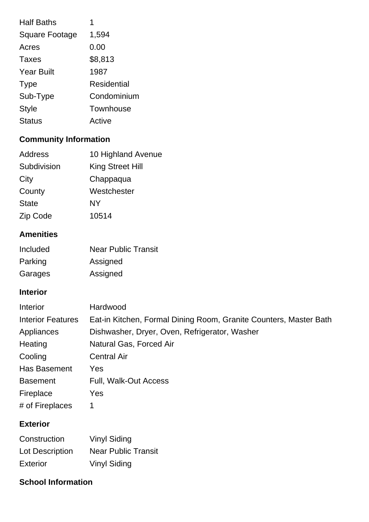| <b>Half Baths</b>     |             |
|-----------------------|-------------|
| <b>Square Footage</b> | 1,594       |
| Acres                 | 0.00        |
| Taxes                 | \$8,813     |
| <b>Year Built</b>     | 1987        |
| <b>Type</b>           | Residential |
| Sub-Type              | Condominium |
| <b>Style</b>          | Townhouse   |
| <b>Status</b>         | Active      |

## **Community Information**

| <b>Address</b> | 10 Highland Avenue |
|----------------|--------------------|
| Subdivision    | King Street Hill   |
| City           | Chappaqua          |
| County         | Westchester        |
| <b>State</b>   | NY                 |
| Zip Code       | 10514              |

## **Amenities**

| Included | <b>Near Public Transit</b> |
|----------|----------------------------|
| Parking  | Assigned                   |
| Garages  | Assigned                   |

## **Interior**

| Interior                 | Hardwood                                                          |
|--------------------------|-------------------------------------------------------------------|
| <b>Interior Features</b> | Eat-in Kitchen, Formal Dining Room, Granite Counters, Master Bath |
| Appliances               | Dishwasher, Dryer, Oven, Refrigerator, Washer                     |
| Heating                  | Natural Gas, Forced Air                                           |
| Cooling                  | <b>Central Air</b>                                                |
| Has Basement             | Yes                                                               |
| <b>Basement</b>          | Full, Walk-Out Access                                             |
| Fireplace                | Yes                                                               |
| # of Fireplaces          |                                                                   |

#### **Exterior**

| Construction    | <b>Vinyl Siding</b>        |
|-----------------|----------------------------|
| Lot Description | <b>Near Public Transit</b> |
| Exterior        | <b>Vinyl Siding</b>        |

### **School Information**